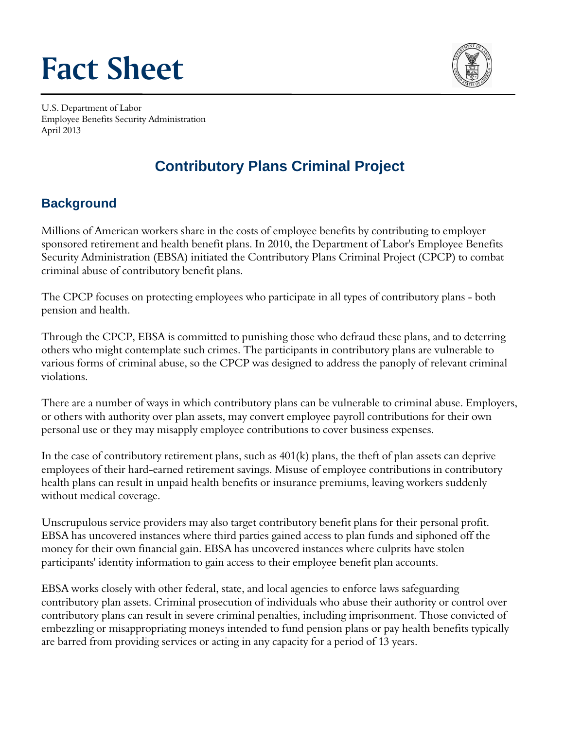# **Fact Sheet**



U.S. Department of Labor Employee Benefits Security Administration April 2013

# **Contributory Plans Criminal Project**

## **Background**

Millions of American workers share in the costs of employee benefits by contributing to employer sponsored retirement and health benefit plans. In 2010, the Department of Labor's Employee Benefits Security Administration (EBSA) initiated the Contributory Plans Criminal Project (CPCP) to combat criminal abuse of contributory benefit plans.

The CPCP focuses on protecting employees who participate in all types of contributory plans - both pension and health.

Through the CPCP, EBSA is committed to punishing those who defraud these plans, and to deterring others who might contemplate such crimes. The participants in contributory plans are vulnerable to various forms of criminal abuse, so the CPCP was designed to address the panoply of relevant criminal violations.

There are a number of ways in which contributory plans can be vulnerable to criminal abuse. Employers, or others with authority over plan assets, may convert employee payroll contributions for their own personal use or they may misapply employee contributions to cover business expenses.

In the case of contributory retirement plans, such as 401(k) plans, the theft of plan assets can deprive employees of their hard-earned retirement savings. Misuse of employee contributions in contributory health plans can result in unpaid health benefits or insurance premiums, leaving workers suddenly without medical coverage.

Unscrupulous service providers may also target contributory benefit plans for their personal profit. EBSA has uncovered instances where third parties gained access to plan funds and siphoned off the money for their own financial gain. EBSA has uncovered instances where culprits have stolen participants' identity information to gain access to their employee benefit plan accounts.

EBSA works closely with other federal, state, and local agencies to enforce laws safeguarding contributory plan assets. Criminal prosecution of individuals who abuse their authority or control over contributory plans can result in severe criminal penalties, including imprisonment. Those convicted of embezzling or misappropriating moneys intended to fund pension plans or pay health benefits typically are barred from providing services or acting in any capacity for a period of 13 years.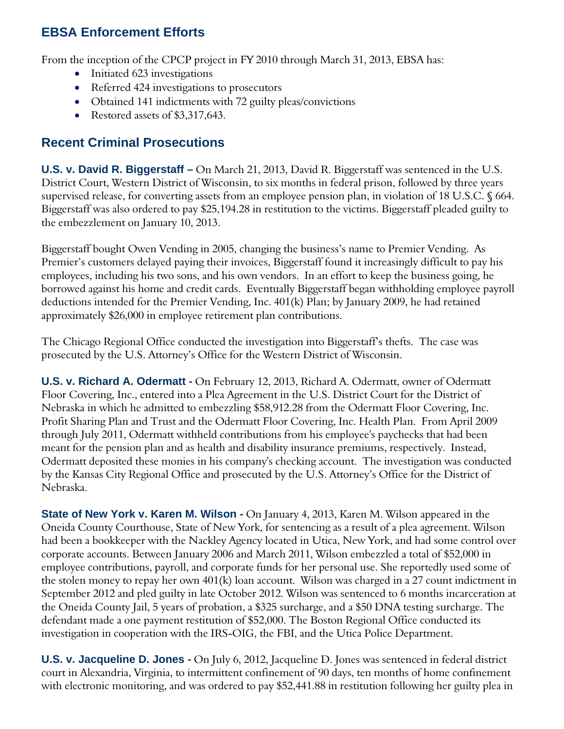### **EBSA Enforcement Efforts**

From the inception of the CPCP project in FY 2010 through March 31, 2013, EBSA has:

- Initiated 623 investigations
- Referred 424 investigations to prosecutors
- Obtained 141 indictments with 72 guilty pleas/convictions
- Restored assets of \$3,317,643.

#### **Recent Criminal Prosecutions**

**U.S. v. David R. Biggerstaff –** On March 21, 2013, David R. Biggerstaff was sentenced in the U.S. District Court, Western District of Wisconsin, to six months in federal prison, followed by three years supervised release, for converting assets from an employee pension plan, in violation of 18 U.S.C. § 664. Biggerstaff was also ordered to pay \$25,194.28 in restitution to the victims. Biggerstaff pleaded guilty to the embezzlement on January 10, 2013.

Biggerstaff bought Owen Vending in 2005, changing the business's name to Premier Vending. As Premier's customers delayed paying their invoices, Biggerstaff found it increasingly difficult to pay his employees, including his two sons, and his own vendors. In an effort to keep the business going, he borrowed against his home and credit cards. Eventually Biggerstaff began withholding employee payroll deductions intended for the Premier Vending, Inc. 401(k) Plan; by January 2009, he had retained approximately \$26,000 in employee retirement plan contributions.

The Chicago Regional Office conducted the investigation into Biggerstaff's thefts. The case was prosecuted by the U.S. Attorney's Office for the Western District of Wisconsin.

**U.S. v. Richard A. Odermatt -** On February 12, 2013, Richard A. Odermatt, owner of Odermatt Floor Covering, Inc., entered into a Plea Agreement in the U.S. District Court for the District of Nebraska in which he admitted to embezzling \$58,912.28 from the Odermatt Floor Covering, Inc. Profit Sharing Plan and Trust and the Odermatt Floor Covering, Inc. Health Plan. From April 2009 through July 2011, Odermatt withheld contributions from his employee's paychecks that had been meant for the pension plan and as health and disability insurance premiums, respectively. Instead, Odermatt deposited these monies in his company's checking account. The investigation was conducted by the Kansas City Regional Office and prosecuted by the U.S. Attorney's Office for the District of Nebraska.

**State of New York v. Karen M. Wilson -** On January 4, 2013, Karen M. Wilson appeared in the Oneida County Courthouse, State of New York, for sentencing as a result of a plea agreement. Wilson had been a bookkeeper with the Nackley Agency located in Utica, New York, and had some control over corporate accounts. Between January 2006 and March 2011, Wilson embezzled a total of \$52,000 in employee contributions, payroll, and corporate funds for her personal use. She reportedly used some of the stolen money to repay her own 401(k) loan account. Wilson was charged in a 27 count indictment in September 2012 and pled guilty in late October 2012. Wilson was sentenced to 6 months incarceration at the Oneida County Jail, 5 years of probation, a \$325 surcharge, and a \$50 DNA testing surcharge. The defendant made a one payment restitution of \$52,000. The Boston Regional Office conducted its investigation in cooperation with the IRS-OIG, the FBI, and the Utica Police Department.

**U.S. v. Jacqueline D. Jones -** On July 6, 2012, Jacqueline D. Jones was sentenced in federal district court in Alexandria, Virginia, to intermittent confinement of 90 days, ten months of home confinement with electronic monitoring, and was ordered to pay \$52,441.88 in restitution following her guilty plea in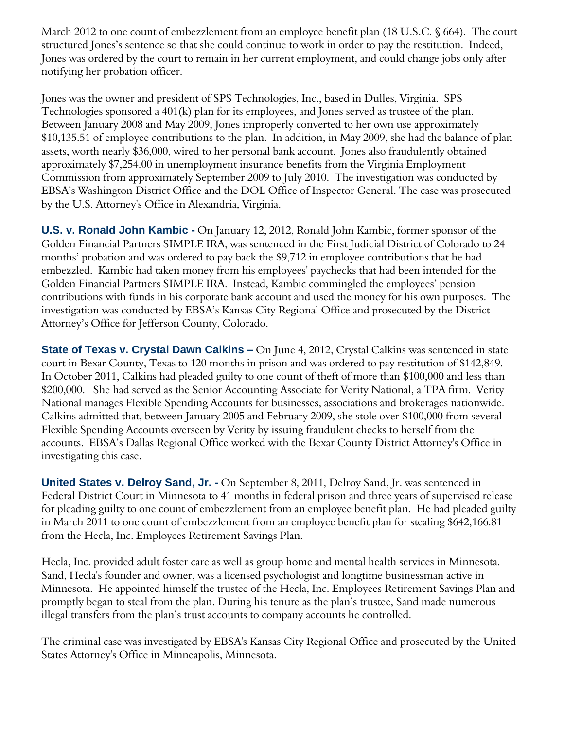March 2012 to one count of embezzlement from an employee benefit plan (18 U.S.C. § 664). The court structured Jones's sentence so that she could continue to work in order to pay the restitution. Indeed, Jones was ordered by the court to remain in her current employment, and could change jobs only after notifying her probation officer.

Jones was the owner and president of SPS Technologies, Inc., based in Dulles, Virginia. SPS Technologies sponsored a 401(k) plan for its employees, and Jones served as trustee of the plan. Between January 2008 and May 2009, Jones improperly converted to her own use approximately \$10,135.51 of employee contributions to the plan. In addition, in May 2009, she had the balance of plan assets, worth nearly \$36,000, wired to her personal bank account. Jones also fraudulently obtained approximately \$7,254.00 in unemployment insurance benefits from the Virginia Employment Commission from approximately September 2009 to July 2010. The investigation was conducted by EBSA's Washington District Office and the DOL Office of Inspector General. The case was prosecuted by the U.S. Attorney's Office in Alexandria, Virginia.

**U.S. v. Ronald John Kambic -** On January 12, 2012, Ronald John Kambic, former sponsor of the Golden Financial Partners SIMPLE IRA, was sentenced in the First Judicial District of Colorado to 24 months' probation and was ordered to pay back the \$9,712 in employee contributions that he had embezzled. Kambic had taken money from his employees' paychecks that had been intended for the Golden Financial Partners SIMPLE IRA. Instead, Kambic commingled the employees' pension contributions with funds in his corporate bank account and used the money for his own purposes. The investigation was conducted by EBSA's Kansas City Regional Office and prosecuted by the District Attorney's Office for Jefferson County, Colorado.

**State of Texas v. Crystal Dawn Calkins –** On June 4, 2012, Crystal Calkins was sentenced in state court in Bexar County, Texas to 120 months in prison and was ordered to pay restitution of \$142,849. In October 2011, Calkins had pleaded guilty to one count of theft of more than \$100,000 and less than \$200,000. She had served as the Senior Accounting Associate for Verity National, a TPA firm. Verity National manages Flexible Spending Accounts for businesses, associations and brokerages nationwide. Calkins admitted that, between January 2005 and February 2009, she stole over \$100,000 from several Flexible Spending Accounts overseen by Verity by issuing fraudulent checks to herself from the accounts. EBSA's Dallas Regional Office worked with the Bexar County District Attorney's Office in investigating this case.

**United States v. Delroy Sand, Jr. -** On September 8, 2011, Delroy Sand, Jr. was sentenced in Federal District Court in Minnesota to 41 months in federal prison and three years of supervised release for pleading guilty to one count of embezzlement from an employee benefit plan. He had pleaded guilty in March 2011 to one count of embezzlement from an employee benefit plan for stealing \$642,166.81 from the Hecla, Inc. Employees Retirement Savings Plan.

Hecla, Inc. provided adult foster care as well as group home and mental health services in Minnesota. Sand, Hecla's founder and owner, was a licensed psychologist and longtime businessman active in Minnesota. He appointed himself the trustee of the Hecla, Inc. Employees Retirement Savings Plan and promptly began to steal from the plan. During his tenure as the plan's trustee, Sand made numerous illegal transfers from the plan's trust accounts to company accounts he controlled.

The criminal case was investigated by EBSA's Kansas City Regional Office and prosecuted by the United States Attorney's Office in Minneapolis, Minnesota.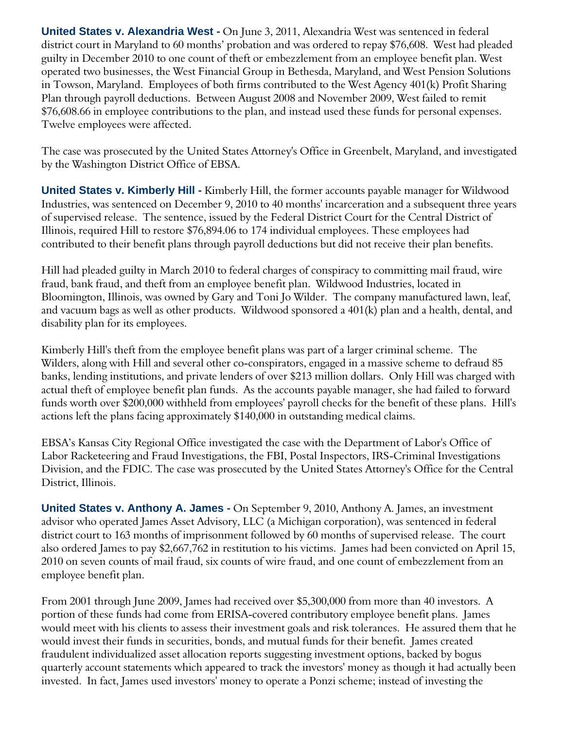**United States v. Alexandria West -** On June 3, 2011, Alexandria West was sentenced in federal district court in Maryland to 60 months' probation and was ordered to repay \$76,608. West had pleaded guilty in December 2010 to one count of theft or embezzlement from an employee benefit plan. West operated two businesses, the West Financial Group in Bethesda, Maryland, and West Pension Solutions in Towson, Maryland. Employees of both firms contributed to the West Agency 401(k) Profit Sharing Plan through payroll deductions. Between August 2008 and November 2009, West failed to remit \$76,608.66 in employee contributions to the plan, and instead used these funds for personal expenses. Twelve employees were affected.

The case was prosecuted by the United States Attorney's Office in Greenbelt, Maryland, and investigated by the Washington District Office of EBSA.

**United States v. Kimberly Hill -** Kimberly Hill, the former accounts payable manager for Wildwood Industries, was sentenced on December 9, 2010 to 40 months' incarceration and a subsequent three years of supervised release. The sentence, issued by the Federal District Court for the Central District of Illinois, required Hill to restore \$76,894.06 to 174 individual employees. These employees had contributed to their benefit plans through payroll deductions but did not receive their plan benefits.

Hill had pleaded guilty in March 2010 to federal charges of conspiracy to committing mail fraud, wire fraud, bank fraud, and theft from an employee benefit plan. Wildwood Industries, located in Bloomington, Illinois, was owned by Gary and Toni Jo Wilder. The company manufactured lawn, leaf, and vacuum bags as well as other products. Wildwood sponsored a 401(k) plan and a health, dental, and disability plan for its employees.

Kimberly Hill's theft from the employee benefit plans was part of a larger criminal scheme. The Wilders, along with Hill and several other co-conspirators, engaged in a massive scheme to defraud 85 banks, lending institutions, and private lenders of over \$213 million dollars. Only Hill was charged with actual theft of employee benefit plan funds. As the accounts payable manager, she had failed to forward funds worth over \$200,000 withheld from employees' payroll checks for the benefit of these plans. Hill's actions left the plans facing approximately \$140,000 in outstanding medical claims.

EBSA's Kansas City Regional Office investigated the case with the Department of Labor's Office of Labor Racketeering and Fraud Investigations, the FBI, Postal Inspectors, IRS-Criminal Investigations Division, and the FDIC. The case was prosecuted by the United States Attorney's Office for the Central District, Illinois.

**United States v. Anthony A. James -** On September 9, 2010, Anthony A. James, an investment advisor who operated James Asset Advisory, LLC (a Michigan corporation), was sentenced in federal district court to 163 months of imprisonment followed by 60 months of supervised release. The court also ordered James to pay \$2,667,762 in restitution to his victims. James had been convicted on April 15, 2010 on seven counts of mail fraud, six counts of wire fraud, and one count of embezzlement from an employee benefit plan.

From 2001 through June 2009, James had received over \$5,300,000 from more than 40 investors. A portion of these funds had come from ERISA-covered contributory employee benefit plans. James would meet with his clients to assess their investment goals and risk tolerances. He assured them that he would invest their funds in securities, bonds, and mutual funds for their benefit. James created fraudulent individualized asset allocation reports suggesting investment options, backed by bogus quarterly account statements which appeared to track the investors' money as though it had actually been invested. In fact, James used investors' money to operate a Ponzi scheme; instead of investing the